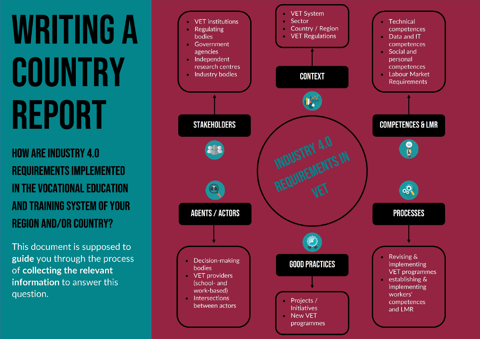# **WRITING A** COUNTRY **REPORT**

**HOW ARE INDUSTRY 4.0 REQUIREMENTS IMPLEMENTED** IN THE VOCATIONAL EDUCATION **AND TRAINING SYSTEM OF YOUR REGION AND/OR COUNTRY?** 

This document is supposed to guide you through the process of collecting the relevant information to answer this question.

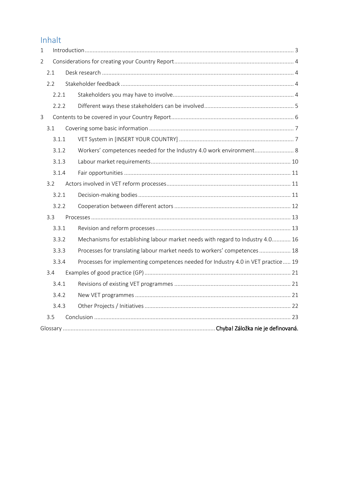# Inhalt

| $\mathbf{1}$   |       |                                                                                   |
|----------------|-------|-----------------------------------------------------------------------------------|
| $\overline{2}$ |       |                                                                                   |
|                | 2.1   |                                                                                   |
|                | 2.2   |                                                                                   |
|                | 2.2.1 |                                                                                   |
|                | 2.2.2 |                                                                                   |
| $\overline{3}$ |       |                                                                                   |
|                | 3.1   |                                                                                   |
|                | 3.1.1 |                                                                                   |
|                | 3.1.2 | Workers' competences needed for the Industry 4.0 work environment 8               |
|                | 3.1.3 |                                                                                   |
|                | 3.1.4 |                                                                                   |
|                | 3.2   |                                                                                   |
|                | 3.2.1 |                                                                                   |
|                | 3.2.2 |                                                                                   |
|                | 3.3   |                                                                                   |
|                | 3.3.1 |                                                                                   |
|                | 3.3.2 | Mechanisms for establishing labour market needs with regard to Industry 4.0 16    |
|                | 3.3.3 | Processes for translating labour market needs to workers' competences 18          |
|                | 3.3.4 | Processes for implementing competences needed for Industry 4.0 in VET practice 19 |
|                | 3.4   |                                                                                   |
|                | 3.4.1 |                                                                                   |
|                | 3.4.2 |                                                                                   |
|                | 3.4.3 |                                                                                   |
|                | 3.5   |                                                                                   |
|                |       |                                                                                   |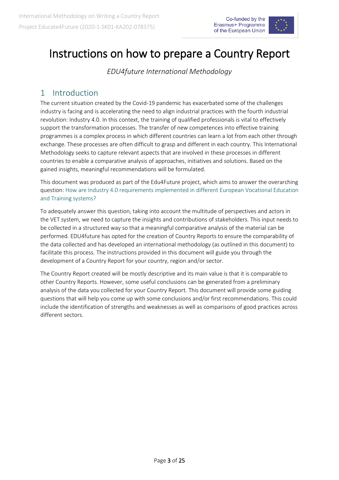

# Instructions on how to prepare a Country Report

*EDU4future International Methodology*

### <span id="page-2-0"></span>1 Introduction

The current situation created by the Covid-19 pandemic has exacerbated some of the challenges industry is facing and is accelerating the need to align industrial practices with the fourth industrial revolution: Industry 4.0. In this context, the training of qualified professionals is vital to effectively support the transformation processes. The transfer of new competences into effective training programmes is a complex process in which different countries can learn a lot from each other through exchange. These processes are often difficult to grasp and different in each country. This International Methodology seeks to capture relevant aspects that are involved in these processes in different countries to enable a comparative analysis of approaches, initiatives and solutions. Based on the gained insights, meaningful recommendations will be formulated.

This document was produced as part of the Edu4Future project, which aims to answer the overarching question: How are Industry 4.0 requirements implemented in different European Vocational Education and Training systems?

To adequately answer this question, taking into account the multitude of perspectives and actors in the VET system, we need to capture the insights and contributions of stakeholders. This input needs to be collected in a structured way so that a meaningful comparative analysis of the material can be performed. EDU4future has opted for the creation of Country Reports to ensure the comparability of the data collected and has developed an international methodology (as outlined in this document) to facilitate this process. The instructions provided in this document will guide you through the development of a Country Report for your country, region and/or sector.

The Country Report created will be mostly descriptive and its main value is that it is comparable to other Country Reports. However, some useful conclusions can be generated from a preliminary analysis of the data you collected for your Country Report. This document will provide some guiding questions that will help you come up with some conclusions and/or first recommendations. This could include the identification of strengths and weaknesses as well as comparisons of good practices across different sectors.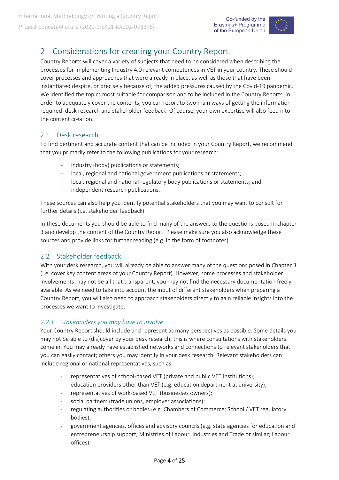

# <span id="page-3-0"></span>2 Considerations for creating your Country Report

Country Reports will cover a variety of subjects that need to be considered when describing the processes for implementing Industry 4.0 relevant competences in VET in your country. These should cover processes and approaches that were already in place, as well as those that have been instantiated despite, or precisely because of, the added pressures caused by the Covid-19 pandemic. We identified the topics most suitable for comparison and to be included in the Country Reports. In order to adequately cover the contents, you can resort to two main ways of getting the information required: desk research and stakeholder feedback. Of course, your own expertise will also feed into the content creation.

#### <span id="page-3-1"></span>2.1 Desk research

To find pertinent and accurate content that can be included in your Country Report, we recommend that you primarily refer to the following publications for your research:

- industry (body) publications or statements;
- local, regional and national government publications or statements;
- local, regional and national regulatory body publications or statements; and
- independent research publications.

These sources can also help you identify potential stakeholders that you may want to consult for further details (i.e. stakeholder feedback).

In these documents you should be able to find many of the answers to the questions posed in chapter 3 and develop the content of the Country Report. Please make sure you also acknowledge these sources and provide links for further reading (e.g. in the form of footnotes).

#### <span id="page-3-2"></span>2.2 Stakeholder feedback

With your desk research, you will already be able to answer many of the questions posed in Chapter 3 (i.e. cover key content areas of your Country Report). However, some processes and stakeholder involvements may not be all that transparent; you may not find the necessary documentation freely available. As we need to take into account the input of different stakeholders when preparing a Country Report, you will also need to approach stakeholders directly to gain reliable insights into the processes we want to investigate.

#### <span id="page-3-3"></span>*2.2.1 Stakeholders you may have to involve*

Your Country Report should include and represent as many perspectives as possible. Some details you may not be able to (dis)cover by your desk research; this is where consultations with stakeholders come in. You may already have established networks and connections to relevant stakeholders that you can easily contact; others you may identify in your desk research. Relevant stakeholders can include regional or national representatives, such as:

- representatives of school-based VET (private and public VET institutions);
- education providers other than VET (e.g. education department at university);
- representatives of work-based VET (businesses owners);
- social partners (trade unions, employer associations);
- regulating authorities or bodies (e.g. Chambers of Commerce; School / VET regulatory bodies);
- government agencies, offices and advisory councils (e.g. state agencies for education and entrepreneurship support; Ministries of Labour, Industries and Trade or similar; Labour offices);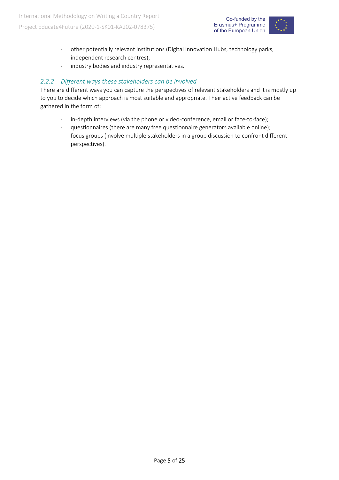

- other potentially relevant institutions (Digital Innovation Hubs, technology parks, independent research centres);
- industry bodies and industry representatives.

#### <span id="page-4-0"></span>*2.2.2 Different ways these stakeholders can be involved*

There are different ways you can capture the perspectives of relevant stakeholders and it is mostly up to you to decide which approach is most suitable and appropriate. Their active feedback can be gathered in the form of:

- in-depth interviews (via the phone or video-conference, email or face-to-face);
- questionnaires (there are many free questionnaire generators available online);
- focus groups (involve multiple stakeholders in a group discussion to confront different perspectives).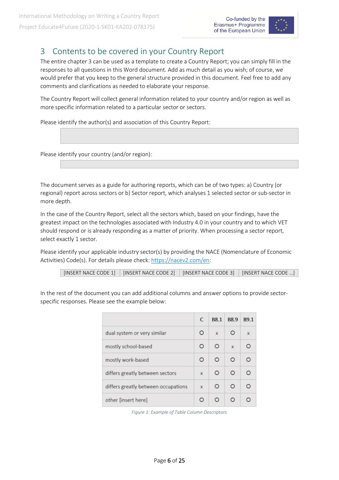

## <span id="page-5-0"></span>3 Contents to be covered in your Country Report

The entire chapter 3 can be used as a template to create a Country Report; you can simply fill in the responses to all questions in this Word document. Add as much detail as you wish; of course, we would prefer that you keep to the general structure provided in this document. Feel free to add any comments and clarifications as needed to elaborate your response.

The Country Report will collect general information related to your country and/or region as well as more specific information related to a particular sector or sectors.

Please identify the author(s) and association of this Country Report:

Please identify your country (and/or region):

The document serves as a guide for authoring reports, which can be of two types: a) Country (or regional) report across sectors or b) Sector report, which analyses 1 selected sector or sub-sector in more depth.

In the case of the Country Report, select all the sectors which, based on your findings, have the greatest impact on the technologies associated with Industry 4.0 in your country and to which VET should respond or is already responding as a matter of priority. When processing a sector report, select exactly 1 sector.

Please identify your applicable industry sector(s) by providing the NACE (Nomenclature of Economic Activities) Code(s). For details please check[: https://nacev2.com/en:](https://nacev2.com/en)

|  | [INSERT NACE CODE 1]   [INSERT NACE CODE 2]   [INSERT NACE CODE 3]   [INSERT NACE CODE ] |  |  |
|--|------------------------------------------------------------------------------------------|--|--|
|--|------------------------------------------------------------------------------------------|--|--|

In the rest of the document you can add additional columns and answer options to provide sectorspecific responses. Please see the example below:

|                                     | C       | <b>B8.1</b> | <b>B8.9</b>  | <b>B9.1</b> |
|-------------------------------------|---------|-------------|--------------|-------------|
| dual system or very similar         | $\circ$ | X           | $\Omega$     | $\chi$      |
| mostly school-based                 | $\circ$ |             | $\mathsf{x}$ |             |
| mostly work-based                   | $\circ$ |             | $\circ$      |             |
| differs greatly between sectors     | x       | $\circ$     | $\circ$      |             |
| differs greatly between occupations | X       | O           | $\circ$      |             |
| other [insert here]                 | O       |             |              |             |

*Figure 1: Example of Table Column Descriptors*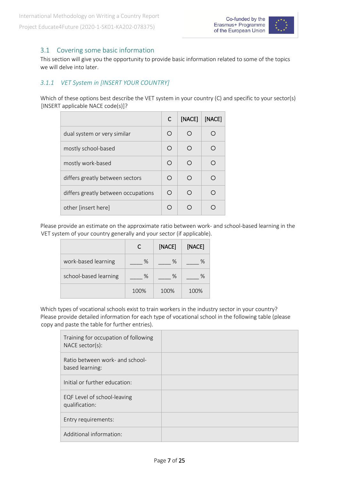

#### <span id="page-6-0"></span>3.1 Covering some basic information

This section will give you the opportunity to provide basic information related to some of the topics we will delve into later.

#### <span id="page-6-1"></span>*3.1.1 VET System in [INSERT YOUR COUNTRY]*

Which of these options best describe the VET system in your country (C) and specific to your sector(s) [INSERT applicable NACE code(s)]?

|                                     | C | [NACE] | [NACE] |
|-------------------------------------|---|--------|--------|
| dual system or very similar         | ∩ | ∩      |        |
| mostly school-based                 | ◯ | ◯      |        |
| mostly work-based                   | ∩ | ∩      |        |
| differs greatly between sectors     | ∩ | ∩      |        |
| differs greatly between occupations | ∩ | ∩      |        |
| other [insert here]                 |   |        |        |

Please provide an estimate on the approximate ratio between work- and school-based learning in the VET system of your country generally and your sector (if applicable).

|                       |      | [NACE] | [NACE] |
|-----------------------|------|--------|--------|
| work-based learning   | $\%$ | $\%$   | ℅      |
| school-based learning | $\%$ | $\%$   | %      |
|                       | 100% | 100%   | 100%   |

Which types of vocational schools exist to train workers in the industry sector in your country? Please provide detailed information for each type of vocational school in the following table (please copy and paste the table for further entries).

| Training for occupation of following<br>NACE sector(s): |  |
|---------------------------------------------------------|--|
| Ratio between work- and school-<br>based learning:      |  |
| Initial or further education:                           |  |
| EQF Level of school-leaving<br>qualification:           |  |
| Entry requirements:                                     |  |
| Additional information:                                 |  |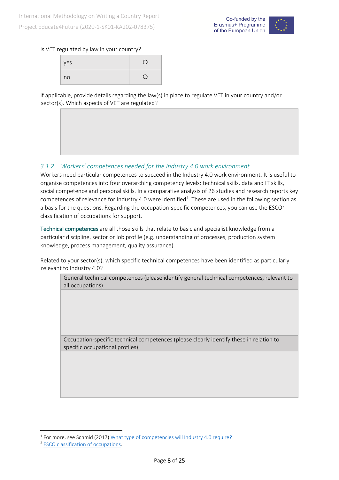

#### Is VET regulated by law in your country?

| yes |  |
|-----|--|
| no  |  |

If applicable, provide details regarding the law(s) in place to regulate VET in your country and/or sector(s). Which aspects of VET are regulated?

#### <span id="page-7-0"></span>*3.1.2 Workers' competences needed for the Industry 4.0 work environment*

Workers need particular competences to succeed in the Industry 4.0 work environment. It is useful to organise competences into four overarching competency levels: technical skills, data and IT skills, social competence and personal skills. In a comparative analysis of 26 studies and research reports key competences of relevance for Industry 4.0 were identified<sup>[1](#page-7-1)</sup>. These are used in the following section as a basis for the questions. Regarding the occupation-specific competences, you can use the  $ESCO<sup>2</sup>$  $ESCO<sup>2</sup>$  $ESCO<sup>2</sup>$ classification of occupations for support.

Technical competences are all those skills that relate to basic and specialist knowledge from a particular discipline, sector or job profile (e.g. understanding of processes, production system knowledge, process management, quality assurance).

Related to your sector(s), which specific technical competences have been identified as particularly relevant to Industry 4.0?

General technical competences (please identify general technical competences, relevant to all occupations).

Occupation-specific technical competences (please clearly identify these in relation to specific occupational profiles).

<span id="page-7-1"></span><sup>&</sup>lt;sup>1</sup> For more, see Schmid (2017) [What type of competencies will Industry 4.0 require?](https://www.hr40.digital/en/what-type-of-competencies-will-industry-4-0-require/#:%7E:text=Social%20competence%3A%20Interdisciplinary%20cooperation%2C%20project,%2C%20openness%2C%20flexibility%2C%20etc.)

<span id="page-7-2"></span><sup>2</sup> [ESCO classification of occupations.](https://ec.europa.eu/esco/portal/occupation)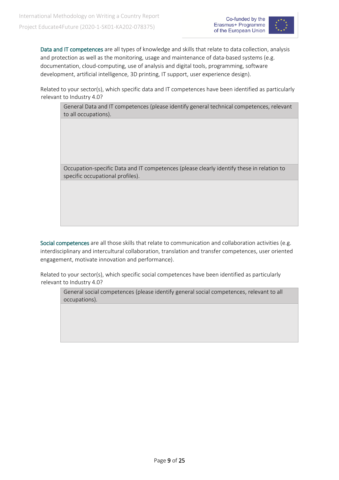

Data and IT competences are all types of knowledge and skills that relate to data collection, analysis and protection as well as the monitoring, usage and maintenance of data-based systems (e.g. documentation, cloud-computing, use of analysis and digital tools, programming, software development, artificial intelligence, 3D printing, IT support, user experience design).

Related to your sector(s), which specific data and IT competences have been identified as particularly relevant to Industry 4.0?

General Data and IT competences (please identify general technical competences, relevant to all occupations).

Occupation-specific Data and IT competences (please clearly identify these in relation to specific occupational profiles).

Social competences are all those skills that relate to communication and collaboration activities (e.g. interdisciplinary and intercultural collaboration, translation and transfer competences, user oriented engagement, motivate innovation and performance).

Related to your sector(s), which specific social competences have been identified as particularly relevant to Industry 4.0?

General social competences (please identify general social competences, relevant to all occupations).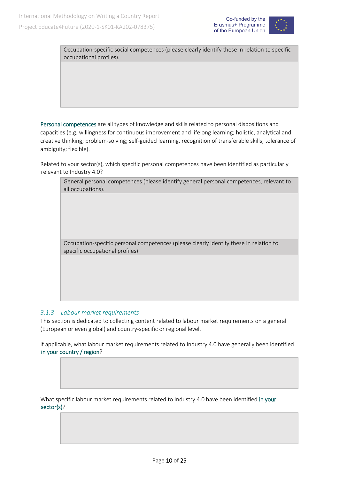



Occupation-specific social competences (please clearly identify these in relation to specific occupational profiles).

Personal competences are all types of knowledge and skills related to personal dispositions and capacities (e.g. willingness for continuous improvement and lifelong learning; holistic, analytical and creative thinking; problem-solving; self-guided learning, recognition of transferable skills; tolerance of ambiguity; flexible).

Related to your sector(s), which specific personal competences have been identified as particularly relevant to Industry 4.0?



Occupation-specific personal competences (please clearly identify these in relation to specific occupational profiles).

#### <span id="page-9-0"></span>*3.1.3 Labour market requirements*

This section is dedicated to collecting content related to labour market requirements on a general (European or even global) and country-specific or regional level.

If applicable, what labour market requirements related to Industry 4.0 have generally been identified in your country / region?

What specific labour market requirements related to Industry 4.0 have been identified in your sector(s)?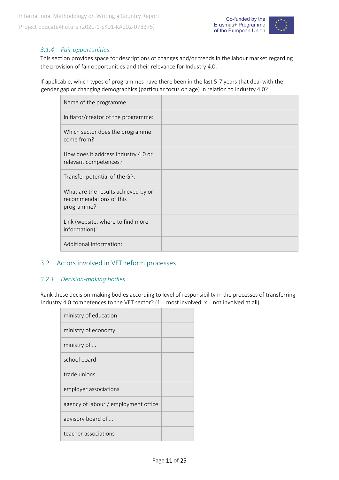

#### <span id="page-10-0"></span>*3.1.4 Fair opportunities*

This section provides space for descriptions of changes and/or trends in the labour market regarding the provision of fair opportunities and their relevance for Industry 4.0.

If applicable, which types of programmes have there been in the last 5-7 years that deal with the gender gap or changing demographics (particular focus on age) in relation to Industry 4.0?

| Name of the programme:                                                       |  |
|------------------------------------------------------------------------------|--|
| Initiator/creator of the programme:                                          |  |
| Which sector does the programme<br>come from?                                |  |
| How does it address Industry 4.0 or<br>relevant competences?                 |  |
| Transfer potential of the GP:                                                |  |
| What are the results achieved by or<br>recommendations of this<br>programme? |  |
| Link (website, where to find more<br>information):                           |  |
| Additional information:                                                      |  |

#### <span id="page-10-1"></span>3.2 Actors involved in VET reform processes

#### <span id="page-10-2"></span>*3.2.1 Decision-making bodies*

Rank these decision-making bodies according to level of responsibility in the processes of transferring Industry 4.0 competences to the VET sector?  $(1 = most involved, x = not involved at all)$ 

| ministry of education                |  |
|--------------------------------------|--|
| ministry of economy                  |  |
| ministry of                          |  |
| school board                         |  |
| trade unions                         |  |
| employer associations                |  |
| agency of labour / employment office |  |
| advisory board of                    |  |
| teacher associations                 |  |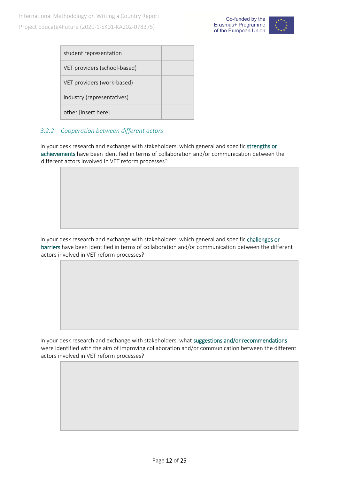

| student representation       |  |
|------------------------------|--|
| VET providers (school-based) |  |
| VET providers (work-based)   |  |
| industry (representatives)   |  |
| other [insert here]          |  |

#### <span id="page-11-0"></span>*3.2.2 Cooperation between different actors*

In your desk research and exchange with stakeholders, which general and specific strengths or achievements have been identified in terms of collaboration and/or communication between the different actors involved in VET reform processes?

In your desk research and exchange with stakeholders, which general and specific challenges or barriers have been identified in terms of collaboration and/or communication between the different actors involved in VET reform processes?

In your desk research and exchange with stakeholders, what suggestions and/or recommendations were identified with the aim of improving collaboration and/or communication between the different actors involved in VET reform processes?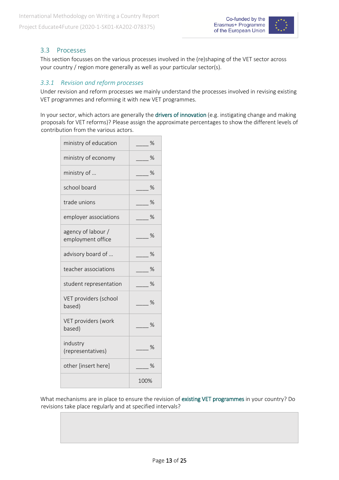

#### <span id="page-12-0"></span>3.3 Processes

This section focusses on the various processes involved in the (re)shaping of the VET sector across your country / region more generally as well as your particular sector(s).

#### <span id="page-12-1"></span>*3.3.1 Revision and reform processes*

Under revision and reform processes we mainly understand the processes involved in revising existing VET programmes and reforming it with new VET programmes.

In your sector, which actors are generally the drivers of innovation (e.g. instigating change and making proposals for VET reforms)? Please assign the approximate percentages to show the different levels of contribution from the various actors.

| ministry of education                   | $\%$          |
|-----------------------------------------|---------------|
| ministry of economy                     | - %           |
| ministry of                             | $\%$          |
| school board                            | $\%$          |
| trade unions                            | $\frac{0}{0}$ |
| employer associations                   | ℅             |
| agency of labour /<br>employment office | $\%$          |
| advisory board of                       | $\%$          |
| teacher associations                    | $\%$          |
| student representation                  | $\%$          |
| VET providers (school<br>based)         | %             |
| VET providers (work<br>based)           | $\frac{1}{2}$ |
| industry<br>(representatives)           | $\%$          |
| other [insert here]                     | $\frac{1}{2}$ |
|                                         | 100%          |

What mechanisms are in place to ensure the revision of existing VET programmes in your country? Do revisions take place regularly and at specified intervals?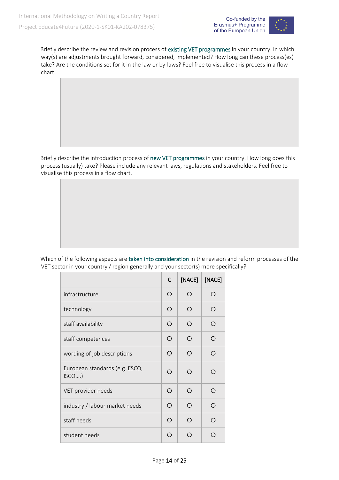

Briefly describe the review and revision process of existing VET programmes in your country. In which way(s) are adjustments brought forward, considered, implemented? How long can these process(es) take? Are the conditions set for it in the law or by-laws? Feel free to visualise this process in a flow chart.

Briefly describe the introduction process of new VET programmes in your country. How long does this process (usually) take? Please include any relevant laws, regulations and stakeholders. Feel free to visualise this process in a flow chart.

Which of the following aspects are taken into consideration in the revision and reform processes of the VET sector in your country / region generally and your sector(s) more specifically?

|                                        | C          | [NACE]     | [NACE] |
|----------------------------------------|------------|------------|--------|
| infrastructure                         | O          | $\bigcirc$ | ◯      |
| technology                             | ∩          | ∩          | ∩      |
| staff availability                     | $\bigcirc$ | ∩          | ∩      |
| staff competences                      | $\bigcirc$ | ∩          | ∩      |
| wording of job descriptions            | ◯          | ∩          | ∩      |
| European standards (e.g. ESCO,<br>ISCO | ∩          | ∩          | ∩      |
| VET provider needs                     | ◯          | ∩          | ∩      |
| industry / labour market needs         | ∩          | ∩          | ∩      |
| staff needs                            | ◯          | ∩          | ∩      |
| student needs                          | ∩          |            |        |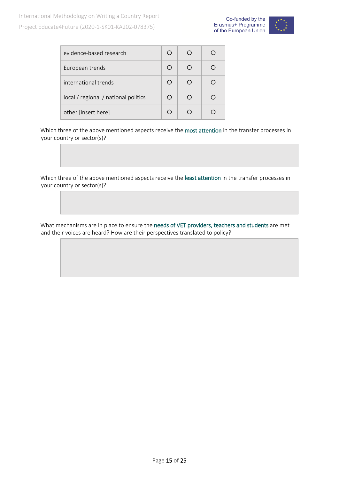

| evidence-based research              |     | () |  |
|--------------------------------------|-----|----|--|
| European trends                      |     | ∩  |  |
| international trends                 |     | ∩  |  |
| local / regional / national politics | ( ) | ◯  |  |
| other [insert here]                  |     |    |  |

Which three of the above mentioned aspects receive the most attention in the transfer processes in your country or sector(s)?

Which three of the above mentioned aspects receive the least attention in the transfer processes in your country or sector(s)?

What mechanisms are in place to ensure the needs of VET providers, teachers and students are met and their voices are heard? How are their perspectives translated to policy?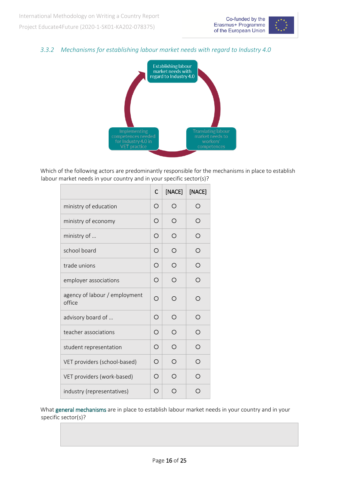

#### <span id="page-15-0"></span>*3.3.2 Mechanisms for establishing labour market needs with regard to Industry 4.0*



Which of the following actors are predominantly responsible for the mechanisms in place to establish labour market needs in your country and in your specific sector(s)?

|                                         | C          | [NACE] | [NACE] |
|-----------------------------------------|------------|--------|--------|
| ministry of education                   | O          | ∩      | ∩      |
| ministry of economy                     | Ω          | ∩      | ∩      |
| ministry of                             | ∩          | ∩      | ∩      |
| school board                            | Ω          | ∩      | ∩      |
| trade unions                            | $\bigcirc$ | ◯      | ∩      |
| employer associations                   | ◯          | ∩      | ∩      |
| agency of labour / employment<br>office | ∩          | ◯      | ∩      |
| advisory board of                       | ◯          | ∩      | ∩      |
| teacher associations                    | Ω          | ∩      | ∩      |
| student representation                  | ∩          | ∩      | ∩      |
| VET providers (school-based)            | O          | ∩      | ∩      |
| VET providers (work-based)              | ∩          | ∩      | ∩      |
| industry (representatives)              | O          |        |        |

What general mechanisms are in place to establish labour market needs in your country and in your specific sector(s)?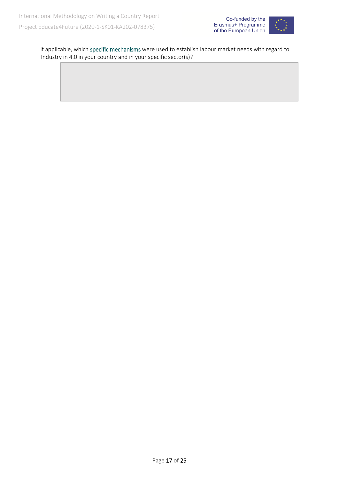



If applicable, which specific mechanisms were used to establish labour market needs with regard to Industry in 4.0 in your country and in your specific sector(s)?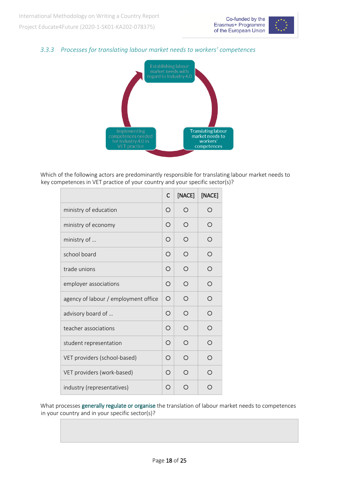

#### <span id="page-17-0"></span>*3.3.3 Processes for translating labour market needs to workers' competences*



Which of the following actors are predominantly responsible for translating labour market needs to key competences in VET practice of your country and your specific sector(s)?

|                                      | C          | [NACE] | [NACE]     |
|--------------------------------------|------------|--------|------------|
| ministry of education                | $\bigcirc$ | ∩      | ∩          |
| ministry of economy                  | O          | ∩      | ◯          |
| ministry of                          | $\bigcirc$ | ∩      | O          |
| school board                         | $\bigcirc$ | ∩      | O          |
| trade unions                         | ◯          | ∩      | ∩          |
| employer associations                | $\bigcirc$ | ◯      | ◯          |
| agency of labour / employment office | $\bigcirc$ | ∩      | O          |
| advisory board of                    | $\bigcirc$ | ∩      | ∩          |
| teacher associations                 | $\bigcirc$ | ∩      | $\bigcirc$ |
| student representation               | $\bigcirc$ | ∩      | ◯          |
| VET providers (school-based)         | ◯          | ∩      | ∩          |
| VET providers (work-based)           | ◯          | ∩      | ∩          |
| industry (representatives)           | Ω          | ∩      | ∩          |

What processes generally regulate or organise the translation of labour market needs to competences in your country and in your specific sector(s)?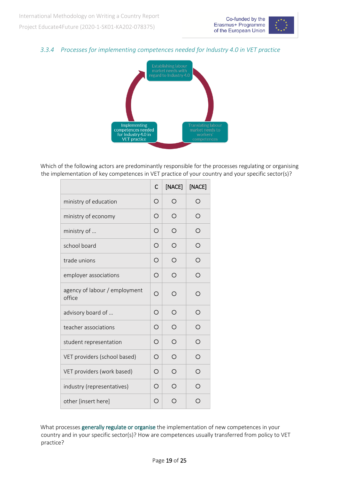

#### <span id="page-18-0"></span>*3.3.4 Processes for implementing competences needed for Industry 4.0 in VET practice*



Which of the following actors are predominantly responsible for the processes regulating or organising the implementation of key competences in VET practice of your country and your specific sector(s)?

|                                         | C          | [NACE] | [NACE]     |
|-----------------------------------------|------------|--------|------------|
| ministry of education                   | $\bigcirc$ | ∩      | $\bigcirc$ |
| ministry of economy                     | $\bigcirc$ | ∩      | O          |
| ministry of                             | O          | ∩      | O          |
| school board                            | $\bigcirc$ | ∩      | ∩          |
| trade unions                            | $\bigcirc$ | ∩      | $\bigcirc$ |
| employer associations                   | $\bigcirc$ | ∩      | O          |
| agency of labour / employment<br>office | Ω          | ∩      | ∩          |
| advisory board of                       | $\bigcirc$ | ◯      | ◯          |
| teacher associations                    | $\circ$    | ◯      | O          |
| student representation                  | $\bigcirc$ | ∩      | O          |
| VET providers (school based)            | $\bigcirc$ | ∩      | ◯          |
| VET providers (work based)              | $\circ$    | ∩      | O          |
| industry (representatives)              | ◯          | ∩      | $\bigcirc$ |
| other [insert here]                     | $\bigcirc$ | ∩      | ∩          |

What processes generally regulate or organise the implementation of new competences in your country and in your specific sector(s)? How are competences usually transferred from policy to VET practice?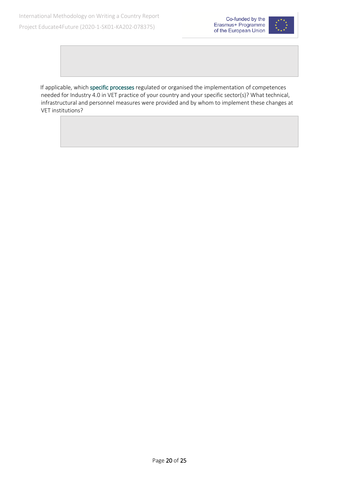

If applicable, which specific processes regulated or organised the implementation of competences needed for Industry 4.0 in VET practice of your country and your specific sector(s)? What technical, infrastructural and personnel measures were provided and by whom to implement these changes at VET institutions?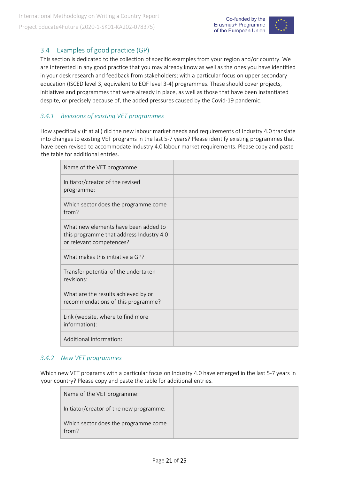

#### <span id="page-20-0"></span>3.4 Examples of good practice (GP)

This section is dedicated to the collection of specific examples from your region and/or country. We are interested in any good practice that you may already know as well as the ones you have identified in your desk research and feedback from stakeholders; with a particular focus on upper secondary education (ISCED level 3, equivalent to EQF level 3-4) programmes. These should cover projects, initiatives and programmes that were already in place, as well as those that have been instantiated despite, or precisely because of, the added pressures caused by the Covid-19 pandemic.

#### <span id="page-20-1"></span>*3.4.1 Revisions of existing VET programmes*

How specifically (if at all) did the new labour market needs and requirements of Industry 4.0 translate into changes to existing VET programs in the last 5-7 years? Please identify existing programmes that have been revised to accommodate Industry 4.0 labour market requirements. Please copy and paste the table for additional entries.

| Name of the VET programme:                                                                                   |  |
|--------------------------------------------------------------------------------------------------------------|--|
| Initiator/creator of the revised<br>programme:                                                               |  |
| Which sector does the programme come<br>from?                                                                |  |
| What new elements have been added to<br>this programme that address Industry 4.0<br>or relevant competences? |  |
| What makes this initiative a GP?                                                                             |  |
| Transfer potential of the undertaken<br>revisions:                                                           |  |
| What are the results achieved by or<br>recommendations of this programme?                                    |  |
| Link (website, where to find more<br>information):                                                           |  |
| Additional information:                                                                                      |  |

#### <span id="page-20-2"></span>*3.4.2 New VET programmes*

Which new VET programs with a particular focus on Industry 4.0 have emerged in the last 5-7 years in your country? Please copy and paste the table for additional entries.

| Name of the VET programme:                    |  |
|-----------------------------------------------|--|
| Initiator/creator of the new programme:       |  |
| Which sector does the programme come<br>from? |  |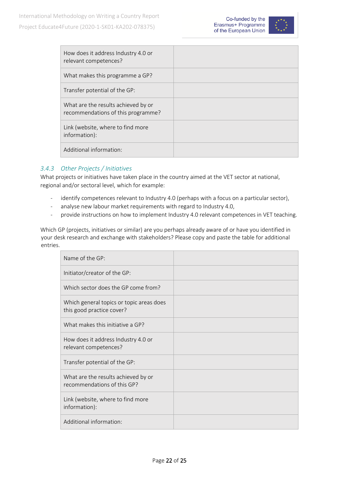

| How does it address Industry 4.0 or<br>relevant competences?              |  |
|---------------------------------------------------------------------------|--|
| What makes this programme a GP?                                           |  |
| Transfer potential of the GP:                                             |  |
| What are the results achieved by or<br>recommendations of this programme? |  |
| Link (website, where to find more<br>information):                        |  |
| Additional information:                                                   |  |

#### <span id="page-21-0"></span>*3.4.3 Other Projects / Initiatives*

What projects or initiatives have taken place in the country aimed at the VET sector at national, regional and/or sectoral level, which for example:

- identify competences relevant to Industry 4.0 (perhaps with a focus on a particular sector),
- analyse new labour market requirements with regard to Industry 4.0,
- provide instructions on how to implement Industry 4.0 relevant competences in VET teaching.

Which GP (projects, initiatives or similar) are you perhaps already aware of or have you identified in your desk research and exchange with stakeholders? Please copy and paste the table for additional entries.

| Name of the GP:                                                       |  |
|-----------------------------------------------------------------------|--|
| Initiator/creator of the GP:                                          |  |
| Which sector does the GP come from?                                   |  |
| Which general topics or topic areas does<br>this good practice cover? |  |
| What makes this initiative a GP?                                      |  |
| How does it address Industry 4.0 or<br>relevant competences?          |  |
| Transfer potential of the GP:                                         |  |
| What are the results achieved by or<br>recommendations of this GP?    |  |
| Link (website, where to find more<br>information):                    |  |
| Additional information:                                               |  |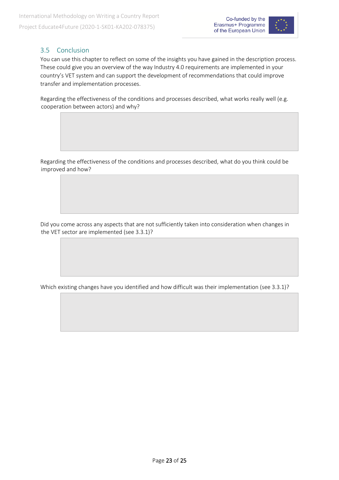

#### <span id="page-22-0"></span>3.5 Conclusion

You can use this chapter to reflect on some of the insights you have gained in the description process. These could give you an overview of the way Industry 4.0 requirements are implemented in your country's VET system and can support the development of recommendations that could improve transfer and implementation processes.

Regarding the effectiveness of the conditions and processes described, what works really well (e.g. cooperation between actors) and why?

Regarding the effectiveness of the conditions and processes described, what do you think could be improved and how?

Did you come across any aspects that are not sufficiently taken into consideration when changes in the VET sector are implemented (see 3.3.1)?

Which existing changes have you identified and how difficult was their implementation (see 3.3.1)?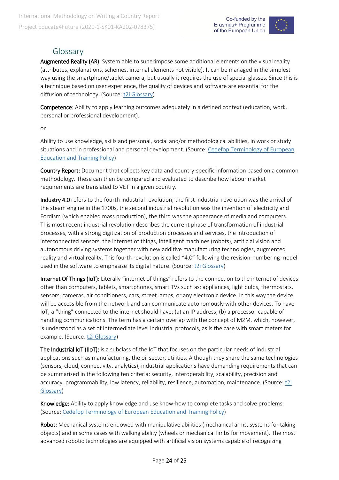

# Glossary

Augmented Reality (AR): System able to superimpose some additional elements on the visual reality (attributes, explanations, schemes, internal elements not visible). It can be managed in the simplest way using the smartphone/tablet camera, but usually it requires the use of special glasses. Since this is a technique based on user experience, the quality of devices and software are essential for the diffusion of technology. (Source[: t2i Glossary\)](http://www.t2i.it/glossary)

Competence: Ability to apply learning outcomes adequately in a defined context (education, work, personal or professional development).

or

Ability to use knowledge, skills and personal, social and/or methodological abilities, in work or study situations and in professional and personal development. (Source[: Cedefop Terminology of European](https://www.cedefop.europa.eu/files/4117_en.pdf)  [Education and Training Policy\)](https://www.cedefop.europa.eu/files/4117_en.pdf)

Country Report: Document that collects key data and country-specific information based on a common methodology. These can then be compared and evaluated to describe how labour market requirements are translated to VET in a given country.

Industry 4.0 refers to the fourth industrial revolution; the first industrial revolution was the arrival of the steam engine in the 1700s, the second industrial revolution was the invention of electricity and Fordism (which enabled mass production), the third was the appearance of media and computers. This most recent industrial revolution describes the current phase of transformation of industrial processes, with a strong digitization of production processes and services, the introduction of interconnected sensors, the internet of things, intelligent machines (robots), artificial vision and autonomous driving systems together with new additive manufacturing technologies, augmented reality and virtual reality. This fourth revolution is called "4.0" following the revision-numbering model used in the software to emphasize its digital nature. (Source: [t2i Glossary\)](http://www.t2i.it/glossary)

Internet Of Things (IoT): Literally "internet of things" refers to the connection to the internet of devices other than computers, tablets, smartphones, smart TVs such as: appliances, light bulbs, thermostats, sensors, cameras, air conditioners, cars, street lamps, or any electronic device. In this way the device will be accessible from the network and can communicate autonomously with other devices. To have IoT, a "thing" connected to the internet should have: (a) an IP address, (b) a processor capable of handling communications. The term has a certain overlap with the concept of M2M, which, however, is understood as a set of intermediate level industrial protocols, as is the case with smart meters for example. (Source[: t2i Glossary\)](http://www.t2i.it/glossary)

The Industrial IoT (IIoT): is a subclass of the IoT that focuses on the particular needs of industrial applications such as manufacturing, the oil sector, utilities. Although they share the same technologies (sensors, cloud, connectivity, analytics), industrial applications have demanding requirements that can be summarized in the following ten criteria: security, interoperability, scalability, precision and accuracy, programmability, low latency, reliability, resilience, automation, maintenance. (Source[: t2i](http://www.t2i.it/glossary)  [Glossary\)](http://www.t2i.it/glossary)

Knowledge: Ability to apply knowledge and use know-how to complete tasks and solve problems. (Source: [Cedefop Terminology of European Education and Training Policy\)](https://www.cedefop.europa.eu/files/4117_en.pdf)

Robot: Mechanical systems endowed with manipulative abilities (mechanical arms, systems for taking objects) and in some cases with walking ability (wheels or mechanical limbs for movement). The most advanced robotic technologies are equipped with artificial vision systems capable of recognizing